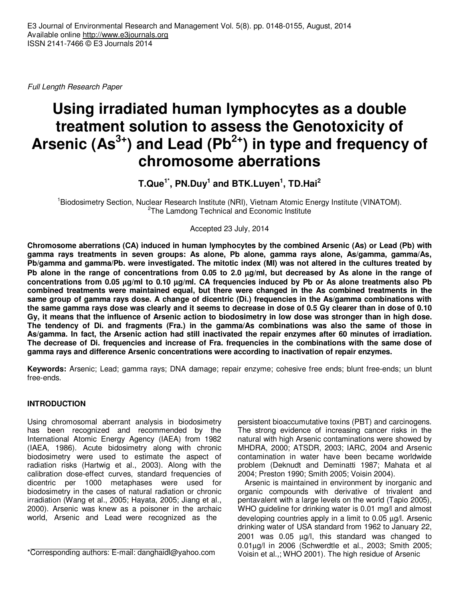*Full Length Research Paper* 

# **Using irradiated human lymphocytes as a double treatment solution to assess the Genotoxicity of Arsenic (As3+) and Lead (Pb2+) in type and frequency of chromosome aberrations**

**T.Que1\*, PN.Duy<sup>1</sup> and BTK.Luyen<sup>1</sup> , TD.Hai<sup>2</sup>**

<sup>1</sup>Biodosimetry Section, Nuclear Research Institute (NRI), Vietnam Atomic Energy Institute (VINATOM). <sup>2</sup>The Lamdong Technical and Economic Institute

Accepted 23 July, 2014

**Chromosome aberrations (CA) induced in human lymphocytes by the combined Arsenic (As) or Lead (Pb) with gamma rays treatments in seven groups: As alone, Pb alone, gamma rays alone, As/gamma, gamma/As, Pb/gamma and gamma/Pb. were investigated. The mitotic index (MI) was not altered in the cultures treated by**  Pb alone in the range of concentrations from 0.05 to 2.0 µg/ml, but decreased by As alone in the range of **concentrations from 0.05** µ**g/ml to 0.10** µ**g/ml. CA frequencies induced by Pb or As alone treatments also Pb combined treatments were maintained equal, but there were changed in the As combined treatments in the same group of gamma rays dose. A change of dicentric (Di.) frequencies in the As/gamma combinations with the same gamma rays dose was clearly and it seems to decrease in dose of 0.5 Gy clearer than in dose of 0.10 Gy, it means that the influence of Arsenic action to biodosimetry in low dose was stronger than in high dose. The tendency of Di. and fragments (Fra.) in the gamma/As combinations was also the same of those in As/gamma. In fact, the Arsenic action had still inactivated the repair enzymes after 60 minutes of irradiation. The decrease of Di. frequencies and increase of Fra. frequencies in the combinations with the same dose of gamma rays and difference Arsenic concentrations were according to inactivation of repair enzymes.** 

**Keywords:** Arsenic; Lead; gamma rays; DNA damage; repair enzyme; cohesive free ends; blunt free-ends; un blunt free-ends.

# **INTRODUCTION**

Using chromosomal aberrant analysis in biodosimetry has been recognized and recommended by the International Atomic Energy Agency (IAEA) from 1982 (IAEA, 1986). Acute bidosimetry along with chronic biodosimetry were used to estimate the aspect of radiation risks (Hartwig et al., 2003). Along with the calibration dose-effect curves, standard frequencies of dicentric per 1000 metaphases were used for biodosimetry in the cases of natural radiation or chronic irradiation (Wang et al., 2005; Hayata, 2005; Jiang et al., 2000). Arsenic was knew as a poisoner in the archaic world, Arsenic and Lead were recognized as the

persistent bioaccumutative toxins (PBT) and carcinogens. The strong evidence of increasing cancer risks in the natural with high Arsenic contaminations were showed by MHDRA, 2000; ATSDR, 2003; IARC, 2004 and Arsenic contamination in water have been became worldwide problem (Deknudt and Deminatti 1987; Mahata et al 2004; Preston 1990; Smith 2005; Voisin 2004).

Arsenic is maintained in environment by inorganic and organic compounds with derivative of trivalent and pentavalent with a large levels on the world (Tapio 2005), WHO guideline for drinking water is 0.01 mg/l and almost developing countries apply in a limit to 0.05  $\mu$ g/l. Arsenic drinking water of USA standard from 1962 to January 22, 2001 was 0.05 µg/l, this standard was changed to 0.01µg/l in 2006 (Schwerdtle et al., 2003; Smith 2005; Voisin et al.,; WHO 2001). The high residue of Arsenic

<sup>\*</sup>Corresponding authors: E-mail: danghaidl@yahoo.com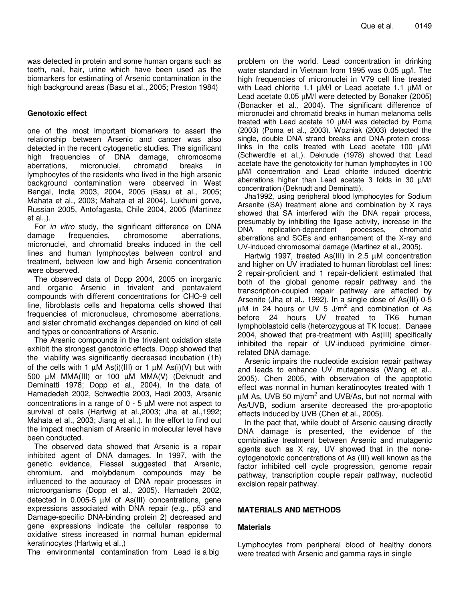was detected in protein and some human organs such as teeth, nail, hair, urine which have been used as the biomarkers for estimating of Arsenic contamination in the high background areas (Basu et al., 2005; Preston 1984)

## **Genotoxic effect**

one of the most important biomarkers to assert the relationship between Arsenic and cancer was also detected in the recent cytogenetic studies. The significant high frequencies of DNA damage, chromosome aberrations, micronuclei, chromatid breaks in lymphocytes of the residents who lived in the high arsenic background contamination were observed in West Bengal, India 2003, 2004, 2005 (Basu et al., 2005; Mahata et al., 2003; Mahata et al 2004), Lukhuni gorve, Russian 2005, Antofagasta, Chile 2004, 2005 (Martinez et al.. $)$ .

For *in vitro* study, the significant difference on DNA damage frequencies, chromosome aberrations, micronuclei, and chromatid breaks induced in the cell lines and human lymphocytes between control and treatment, between low and high Arsenic concentration were observed.

The observed data of Dopp 2004, 2005 on inorganic and organic Arsenic in trivalent and pentavalent compounds with different concentrations for CHO-9 cell line, fibroblasts cells and hepatoma cells showed that frequencies of micronucleus, chromosome aberrations, and sister chromatid exchanges depended on kind of cell and types or concentrations of Arsenic.

The Arsenic compounds in the trivalent oxidation state exhibit the strongest genotoxic effects. Dopp showed that the viability was significantly decreased incubation (1h) of the cells with 1  $\mu$ M As(i)(III) or 1  $\mu$ M As(i)(V) but with 500 µM MMA(III) or 100 µM MMA(V) (Deknudt and Deminatti 1978; Dopp et al., 2004). In the data of Hamadedeh 2002, Schwedtle 2003, Hadi 2003, Arsenic concentrations in a range of 0 - 5 µM were not aspect to survival of cells (Hartwig et al.,2003; Jha et al.,1992; Mahata et al., 2003; Jiang et al.,). In the effort to find out the impact mechanism of Arsenic in molecular level have been conducted.

The observed data showed that Arsenic is a repair inhibited agent of DNA damages. In 1997, with the genetic evidence, Flessel suggested that Arsenic, chromium, and molybdenum compounds may be influenced to the accuracy of DNA repair processes in microorganisms (Dopp et al., 2005). Hamadeh 2002, detected in 0.005-5 µM of As(III) concentrations, gene expressions associated with DNA repair (e.g., p53 and Damage-specific DNA-binding protein 2) decreased and gene expressions indicate the cellular response to oxidative stress increased in normal human epidermal keratinocytes (Hartwig et al.,)

The environmental contamination from Lead is a big

problem on the world. Lead concentration in drinking water standard in Vietnam from 1995 was 0.05 µg/l. The high frequencies of micronuclei in V79 cell line treated with Lead chlorite 1.1 μM/l or Lead acetate 1.1 μM/l or Lead acetate 0.05 µM/l were detected by Bonaker (2005) (Bonacker et al., 2004). The significant difference of micronuclei and chromatid breaks in human melanoma cells treated with Lead acetate 10 µM/l was detected by Poma (2003) (Poma et al., 2003). Wozniak (2003) detected the single, double DNA strand breaks and DNA-protein crosslinks in the cells treated with Lead acetate 100 µM/l (Schwerdtle et al.,). Deknude (1978) showed that Lead acetate have the genotoxicity for human lymphocytes in 100 µM/l concentration and Lead chlorite induced dicentric aberrations higher than Lead acetate 3 folds in 30  $\mu$ M/l concentration (Deknudt and Deminatti).

Jha1992, using peripheral blood lymphocytes for Sodium Arsenite (SA) treatment alone and combination by X rays showed that SA interfered with the DNA repair process, presumably by inhibiting the ligase activity, increase in the DNA replication-dependent processes, chromatid aberrations and SCEs and enhancement of the X-ray and UV-induced chromosomal damage (Martinez et al., 2005).

Hartwig 1997, treated As(III) in 2.5 µM concentration and higher on UV irradiated to human fibroblast cell lines: 2 repair-proficient and 1 repair-deficient estimated that both of the global genome repair pathway and the transcription-coupled repair pathway are affected by Arsenite (Jha et al., 1992). In a single dose of As(III) 0-5  $\mu$ M in 24 hours or UV 5 J/m<sup>2</sup> and combination of As before 24 hours UV treated to TK6 human lymphoblastoid cells (heterozygous at TK locus). Danaee 2004, showed that pre-treatment with As(III) specifically inhibited the repair of UV-induced pyrimidine dimerrelated DNA damage.

Arsenic impairs the nucleotide excision repair pathway and leads to enhance UV mutagenesis (Wang et al., 2005). Chen 2005, with observation of the apoptotic effect was normal in human keratinocytes treated with 1  $\mu$ M As, UVB 50 mj/cm<sup>2</sup> and UVB/As, but not normal with As/UVB, sodium arsenite decreased the pro-apoptotic effects induced by UVB (Chen et al., 2005).

In the pact that, while doubt of Arsenic causing directly DNA damage is presented, the evidence of the combinative treatment between Arsenic and mutagenic agents such as X ray, UV showed that in the nonecytogenotoxic concentrations of As (III) well known as the factor inhibited cell cycle progression, genome repair pathway, transcription couple repair pathway, nucleotid excision repair pathway.

## **MATERIALS AND METHODS**

## **Materials**

Lymphocytes from peripheral blood of healthy donors were treated with Arsenic and gamma rays in single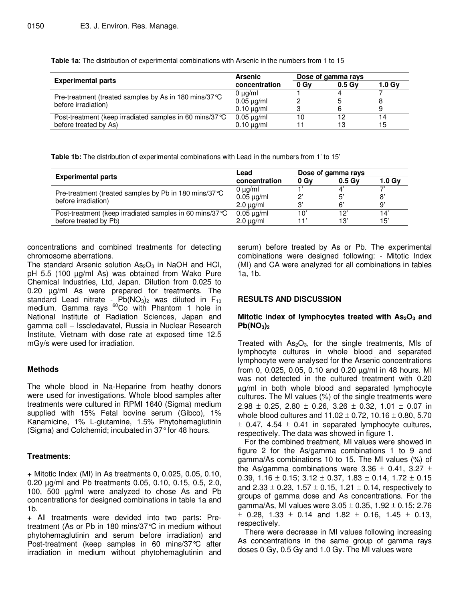**Table 1a**: The distribution of experimental combinations with Arsenic in the numbers from 1 to 15

|                                                                              | <b>Arsenic</b>  | Dose of gamma rays |                   |          |  |
|------------------------------------------------------------------------------|-----------------|--------------------|-------------------|----------|--|
| <b>Experimental parts</b>                                                    | concentration   | 0 Gv               | 0.5 <sub>GV</sub> | $1.0$ Gv |  |
| Pre-treatment (treated samples by As in 180 mins/37 ℃<br>before irradiation) | $0 \mu q/ml$    |                    |                   |          |  |
|                                                                              | $0.05 \mu g/ml$ |                    |                   |          |  |
|                                                                              | $0.10 \mu q/ml$ |                    |                   |          |  |
| Post-treatment (keep irradiated samples in 60 mins/37 ℃                      | $0.05 \mu g/ml$ | 10                 |                   | 14       |  |
| before treated by As)                                                        | $0.10 \mu g/ml$ |                    | 13                | 15       |  |

**Table 1b:** The distribution of experimental combinations with Lead in the numbers from 1' to 15'

| <b>Experimental parts</b>                                                    | Lead            | Dose of gamma rays |                   |                   |
|------------------------------------------------------------------------------|-----------------|--------------------|-------------------|-------------------|
|                                                                              | concentration   | 0 <sub>0</sub>     | 0.5 <sub>GV</sub> | 1.0 <sub>GV</sub> |
| Pre-treatment (treated samples by Pb in 180 mins/37 ℃<br>before irradiation) | 0 $\mu$ g/ml    |                    |                   |                   |
|                                                                              | $0.05 \mu g/ml$ | יפ                 |                   |                   |
|                                                                              | $2.0 \mu q/ml$  | 3'                 |                   | g,                |
| Post-treatment (keep irradiated samples in 60 mins/37 °C                     | $0.05 \mu g/ml$ | $10^{\circ}$       | 12'               | 14'               |
| before treated by Pb)                                                        | $2.0 \mu g/ml$  |                    | 13'               | 15'               |

concentrations and combined treatments for detecting chromosome aberrations.

The standard Arsenic solution  $As<sub>2</sub>O<sub>3</sub>$  in NaOH and HCl, pH 5.5 (100 µg/ml As) was obtained from Wako Pure Chemical Industries, Ltd, Japan. Dilution from 0.025 to 0.20 µg/ml As were prepared for treatments. The standard Lead nitrate  $\frac{1}{2}$ Pb(NO<sub>3</sub>)<sub>2</sub> was diluted in F<sub>10</sub> medium. Gamma rays <sup>60</sup>Co with Phantom 1 hole in National Institute of Radiation Sciences, Japan and gamma cell – Isscledavatel, Russia in Nuclear Research Institute, Vietnam with dose rate at exposed time 12.5 mGy/s were used for irradiation.

# **Methods**

The whole blood in Na-Heparine from heathy donors were used for investigations. Whole blood samples after treatments were cultured in RPMI 1640 (Sigma) medium supplied with 15% Fetal bovine serum (Gibco), 1% Kanamicine, 1% L-glutamine, 1.5% Phytohemaglutinin (Sigma) and Colchemid; incubated in 37° for 48 hours.

# **Treatments**:

+ Mitotic Index (MI) in As treatments 0, 0.025, 0.05, 0.10, 0.20 µg/ml and Pb treatments 0.05, 0.10, 0.15, 0.5, 2.0, 100, 500 µg/ml were analyzed to chose As and Pb concentrations for designed combinations in table 1a and 1b.

+ All treatments were devided into two parts: Pretreatment (As or Pb in 180 mins/37°C in medium without phytohemaglutinin and serum before irradiation) and Post-treatment (keep samples in 60 mins/37°C after irradiation in medium without phytohemaglutinin and

serum) before treated by As or Pb. The experimental combinations were designed following: - Mitotic Index (MI) and CA were analyzed for all combinations in tables 1a, 1b.

# **RESULTS AND DISCUSSION**

# **Mitotic index of lymphocytes treated with As2O3 and**   $Pb(NO<sub>3</sub>)<sub>2</sub>$

Treated with  $As<sub>2</sub>O<sub>3</sub>$ , for the single treatments, MIs of lymphocyte cultures in whole blood and separated lymphocyte were analysed for the Arsenic concentrations from 0, 0.025, 0.05, 0.10 and 0.20 µg/ml in 48 hours. MI was not detected in the cultured treatment with 0.20 µg/ml in both whole blood and separated lymphocyte cultures. The MI values (%) of the single treatments were 2.98  $\pm$  0.25, 2.80  $\pm$  0.26, 3.26  $\pm$  0.32, 1.01  $\pm$  0.07 in whole blood cultures and  $11.02 \pm 0.72$ ,  $10.16 \pm 0.80$ , 5.70  $\pm$  0.47, 4.54  $\pm$  0.41 in separated lymphocyte cultures, respectively. The data was showed in figure 1.

For the combined treatment, MI values were showed in figure 2 for the As/gamma combinations 1 to 9 and gamma/As combinations 10 to 15. The MI values (%) of the As/gamma combinations were  $3.36 \pm 0.41$ ,  $3.27 \pm 0.41$ 0.39, 1.16  $\pm$  0.15; 3.12  $\pm$  0.37, 1.83  $\pm$  0.14, 1.72  $\pm$  0.15 and 2.33  $\pm$  0.23, 1.57  $\pm$  0.15, 1.21  $\pm$  0.14, respectively to groups of gamma dose and As concentrations. For the gamma/As, MI values were  $3.05 \pm 0.35$ ,  $1.92 \pm 0.15$ ; 2.76  $\pm$  0.28, 1.33  $\pm$  0.14 and 1.82  $\pm$  0.16, 1.45  $\pm$  0.13, respectively.

There were decrease in MI values following increasing As concentrations in the same group of gamma rays doses 0 Gy, 0.5 Gy and 1.0 Gy. The MI values were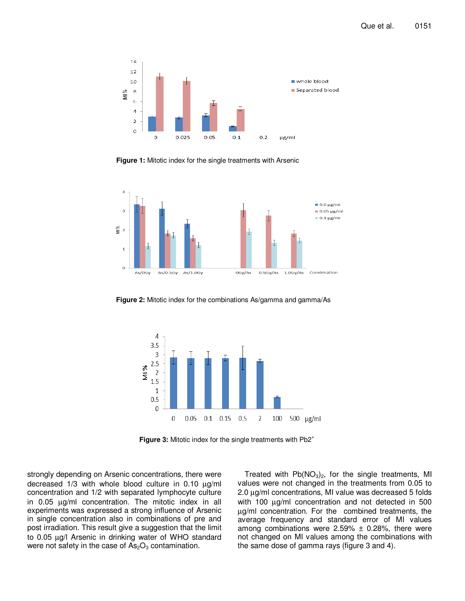

**Figure 1:** Mitotic index for the single treatments with Arsenic



**Figure 2:** Mitotic index for the combinations As/gamma and gamma/As



Figure 3: Mitotic index for the single treatments with Pb2<sup>+</sup>

strongly depending on Arsenic concentrations, there were decreased 1/3 with whole blood culture in 0.10 µg/ml concentration and 1/2 with separated lymphocyte culture in 0.05 µg/ml concentration. The mitotic index in all experiments was expressed a strong influence of Arsenic in single concentration also in combinations of pre and post irradiation. This result give a suggestion that the limit to 0.05 µg/l Arsenic in drinking water of WHO standard were not safety in the case of  $As<sub>2</sub>O<sub>3</sub>$  contamination.

Treated with  $Pb(NO<sub>3</sub>)<sub>2</sub>$ , for the single treatments, MI values were not changed in the treatments from 0.05 to 2.0 µg/ml concentrations, MI value was decreased 5 folds with 100  $\mu$ g/ml concentration and not detected in 500 µg/ml concentration. For the combined treatments, the average frequency and standard error of MI values among combinations were 2.59%  $\pm$  0.28%, there were not changed on MI values among the combinations with the same dose of gamma rays (figure 3 and 4).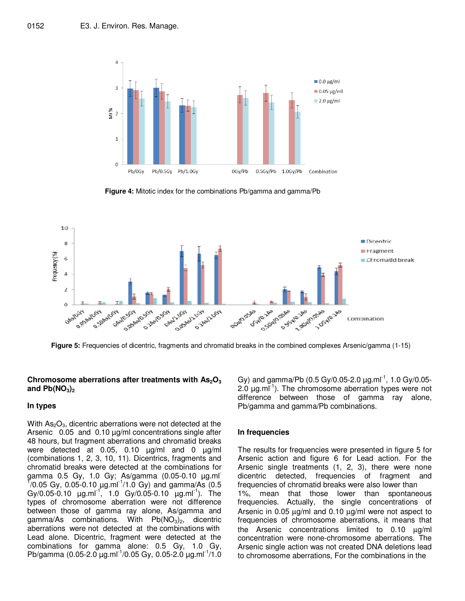

**Figure 4:** Mitotic index for the combinations Pb/gamma and gamma/Pb



**Figure 5:** Frequencies of dicentric, fragments and chromatid breaks in the combined complexes Arsenic/gamma (1-15)

#### **Chromosome aberrations after treatments with As2O<sup>3</sup> and Pb(NO3)<sup>2</sup>**

#### **In types**

With  $As_2O_3$ , dicentric aberrations were not detected at the Arsenic 0.05 and 0.10  $\mu$ g/ml concentrations single after 48 hours, but fragment aberrations and chromatid breaks were detected at 0.05, 0.10 µg/ml and 0 µg/ml (combinations 1, 2, 3, 10, 11). Dicentrics, fragments and chromatid breaks were detected at the combinations for gamma 0.5 Gy, 1.0 Gy; As/gamma (0.05-0.10 µg.ml- $1/0.05$  Gy, 0.05-0.10  $\mu$ g.ml<sup>-1</sup>/1.0 Gy) and gamma/As (0.5) Gy/0.05-0.10  $\mu$ g.ml<sup>-1</sup>, 1.0 Gy/0.05-0.10  $\mu$ g.ml<sup>-1</sup>). The types of chromosome aberration were not difference between those of gamma ray alone, As/gamma and gamma/As combinations. With  $Pb(NO<sub>3</sub>)<sub>2</sub>$ , dicentric aberrations were not detected at the combinations with Lead alone. Dicentric, fragment were detected at the combinations for gamma alone: 0.5 Gy, 1.0 Gy, Pb/gamma (0.05-2.0  $\mu$ g.ml<sup>-1</sup>/0.05 Gy, 0.05-2.0  $\mu$ g.ml<sup>-1</sup>/1.0

Gy) and gamma/Pb (0.5 Gy/0.05-2.0  $\mu$ g.ml<sup>-1</sup>, 1.0 Gy/0.05-2.0  $\mu$ g.ml<sup>-1</sup>). The chromosome aberration types were not difference between those of gamma ray alone, Pb/gamma and gamma/Pb combinations.

#### **In frequencies**

The results for frequencies were presented in figure 5 for Arsenic action and figure 6 for Lead action. For the Arsenic single treatments (1, 2, 3), there were none dicentric detected, frequencies of fragment and frequencies of chromatid breaks were also lower than 1%, mean that those lower than spontaneous frequencies. Actually, the single concentrations of Arsenic in 0.05 µg/ml and 0.10 µg/ml were not aspect to frequencies of chromosome aberrations, it means that the Arsenic concentrations limited to 0.10 µg/ml concentration were none-chromosome aberrations. The Arsenic single action was not created DNA deletions lead to chromosome aberrations, For the combinations in the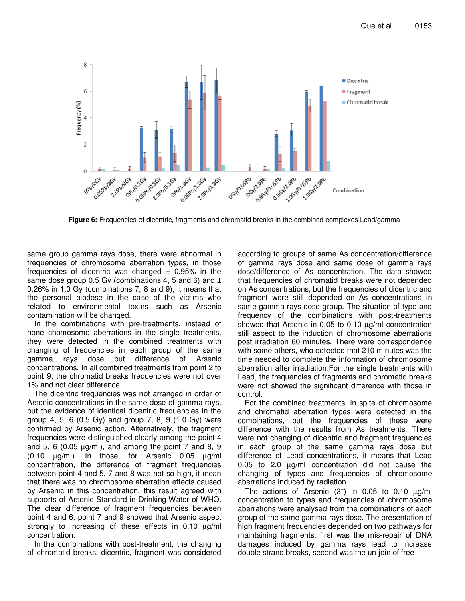

**Figure 6:** Frequencies of dicentric, fragments and chromatid breaks in the combined complexes Lead/gamma

same group gamma rays dose, there were abnormal in frequencies of chromosome aberration types, in those frequencies of dicentric was changed  $\pm$  0.95% in the same dose group 0.5 Gy (combinations 4, 5 and 6) and  $\pm$ 0.26% in 1.0 Gy (combinations 7, 8 and 9), it means that the personal biodose in the case of the victims who related to environmental toxins such as Arsenic contamination will be changed.

In the combinations with pre-treatments, instead of none chomosome aberrations in the single treatments, they were detected in the combined treatments with changing of frequencies in each group of the same gamma rays dose but difference of Arsenic concentrations. In all combined treatments from point 2 to point 9, the chromatid breaks frequencies were not over 1% and not clear difference.

The dicentric frequencies was not arranged in order of Arsenic concentrations in the same dose of gamma rays, but the evidence of identical dicentric frequencies in the group 4, 5, 6 (0.5 Gy) and group 7, 8, 9 (1.0 Gy) were confirmed by Arsenic action. Alternatively, the fragment frequencies were distinguished clearly among the point 4 and 5, 6 (0.05  $\mu$ g/ml), and among the point 7 and 8, 9  $(0.10 \text{ µg/ml})$ . In those, for Arsenic  $0.05 \text{ µg/ml}$ concentration, the difference of fragment frequencies between point 4 and 5, 7 and 8 was not so high, it mean that there was no chromosome aberration effects caused by Arsenic in this concentration, this result agreed with supports of Arsenic Standard in Drinking Water of WHO. The clear difference of fragment frequencies between point 4 and 6, point 7 and 9 showed that Arsenic aspect strongly to increasing of these effects in 0.10  $\mu$ g/ml concentration.

In the combinations with post-treatment, the changing of chromatid breaks, dicentric, fragment was considered

according to groups of same As concentration/difference of gamma rays dose and same dose of gamma rays dose/difference of As concentration. The data showed that frequencies of chromatid breaks were not depended on As concentrations, but the frequencies of dicentric and fragment were still depended on As concentrations in same gamma rays dose group. The situation of type and frequency of the combinations with post-treatments showed that Arsenic in 0.05 to 0.10  $\mu$ g/ml concentration still aspect to the induction of chromosome aberrations post irradiation 60 minutes. There were correspondence with some others, who detected that 210 minutes was the time needed to complete the information of chromosome aberration after irradiation.For the single treatments with Lead, the frequencies of fragments and chromatid breaks were not showed the significant difference with those in control.

For the combined treatments, in spite of chromosome and chromatid aberration types were detected in the combinations, but the frequencies of these were difference with the results from As treatments. There were not changing of dicentric and fragment frequencies in each group of the same gamma rays dose but difference of Lead concentrations, it means that Lead 0.05 to 2.0 µg/ml concentration did not cause the changing of types and frequencies of chromosome aberrations induced by radiation.

The actions of Arsenic  $(3^+)$  in 0.05 to 0.10  $\mu$ g/ml concentration to types and frequencies of chromosome aberrations were analysed from the combinations of each group of the same gamma rays dose. The presentation of high fragment frequencies depended on two pathways for maintaining fragments, first was the mis-repair of DNA damages induced by gamma rays lead to increase double strand breaks, second was the un-join of free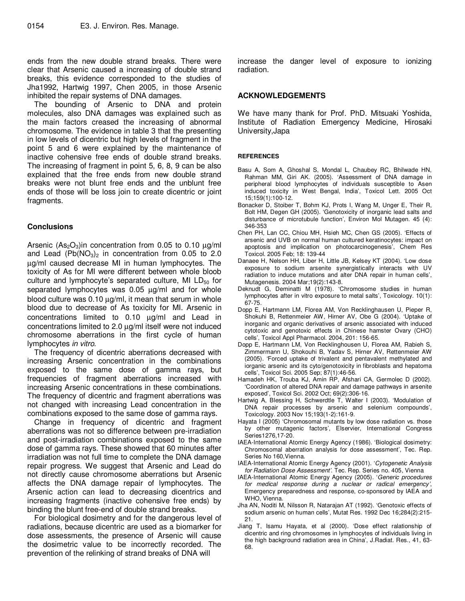ends from the new double strand breaks. There were clear that Arsenic caused a increasing of double strand breaks, this evidence corresponded to the studies of Jha1992, Hartwig 1997, Chen 2005, in those Arsenic inhibited the repair systems of DNA damages.

The bounding of Arsenic to DNA and protein molecules, also DNA damages was explained such as the main factors creased the increasing of abnormal chromosome. The evidence in table 3 that the presenting in low levels of dicentric but high levels of fragment in the point 5 and 6 were explained by the maintenance of inactive cohensive free ends of double strand breaks. The increasing of fragment in point 5, 6, 8, 9 can be also explained that the free ends from new double strand breaks were not blunt free ends and the unblunt free ends of those will be loss join to create dicentric or joint fragments.

## **Conclusions**

Arsenic  $(As<sub>2</sub>O<sub>3</sub>)$ in concentration from 0.05 to 0.10  $\mu$ g/ml and Lead  $(Pb(NO<sub>3</sub>)<sub>2</sub>$  in concentration from 0.05 to 2.0 µg/ml caused decrease MI in human lymphocytes. The toxicity of As for MI were different between whole bloob culture and lymphocyte's separated culture, MI  $LD_{50}$  for separated lymphocytes was  $0.05 \mu g/ml$  and for whole blood culture was 0.10  $\mu$ g/ml, it mean that serum in whole blood due to decrease of As toxicity for MI. Arsenic in concentrations limited to 0.10 µg/ml and Lead in concentrations limited to 2.0 µg/ml itself were not induced chromosome aberrations in the first cycle of human lymphocytes *in vitro*.

The frequency of dicentric aberrations decreased with increasing Arsenic concentration in the combinations exposed to the same dose of gamma rays, but frequencies of fragment aberrations increased with increasing Arsenic concentrations in these combinations. The frequency of dicentric and fragment aberrations was not changed with increasing Lead concentration in the combinations exposed to the same dose of gamma rays.

Change in frequency of dicentric and fragment aberrations was not so difference between pre-irradiation and post-irradiation combinations exposed to the same dose of gamma rays. These showed that 60 minutes after irradiation was not full time to complete the DNA damage repair progress. We suggest that Arsenic and Lead do not directly cause chromosome aberrations but Arsenic affects the DNA damage repair of lymphocytes. The Arsenic action can lead to decreasing dicentrics and increasing fragments (inactive cohensive free ends) by binding the blunt free-end of double strand breaks.

For biological dosimetry and for the dangerous level of radiations, because dicentric are used as a biomarker for dose assessments, the presence of Arsenic will cause the dosimetric value to be incorrectly recorded. The prevention of the relinking of strand breaks of DNA will

increase the danger level of exposure to ionizing radiation.

# **ACKNOWLEDGEMENTS**

We have many thank for Prof. PhD. Mitsuaki Yoshida, Institute of Radiation Emergency Medicine, Hirosaki University,Japa

#### **REFERENCES**

- Basu A, Som A, Ghoshal S, Mondal L, Chaubey RC, Bhilwade HN, Rahman MM, Giri AK. (2005). 'Assessment of DNA damage in peripheral blood lymphocytes of individuals susceptible to Asen induced toxicity in West Bengal, India', Toxicol Lett. 2005 Oct 15;159(1):100-12.
- Bonacker D, Stoiber T, Bohm KJ, Prots I, Wang M, Unger E, Their R, Bolt HM, Degen GH (2005). 'Genotoxicity of inorganic lead salts and disturbance of microtubule function', Environ Mol Mutagen. 45 (4): 346-353
- Chen PH, Lan CC, Chiou MH, Hsieh MC, Chen GS (2005). 'Effects of arsenic and UVB on normal human cultured keratinocytes: impact on apoptosis and implication on photocarcinogenesis', Chem Res Toxicol. 2005 Feb; 18: 139-44
- Danaee H, Nelson HH, Liber H, Little JB, Kelsey KT (2004). 'Low dose exposure to sodium arsenite synergistically interacts with UV radiation to induce mutations and alter DNA repair in human cells', Mutagenesis. 2004 Mar;19(2):143-8.
- Deknudt G, Deminatti M (1978). 'Chromosome studies in human lymphocytes after in vitro exposure to metal salts', Toxicology. 10(1): 67-75.
- Dopp E, Hartmann LM, Florea AM, Von Recklinghausen U, Pieper R, Shokuhi B, Rettenmeier AW, Hirner AV, Obe G (2004). 'Uptake of inorganic and organic derivatives of arsenic associated with induced cytotoxic and genotoxic effects in Chinese hamster Ovary (CHO) cells', Toxicol Appl Pharmacol. 2004, 201: 156-65.
- Dopp E, Hartmann LM, Von Recklinghousen U, Florea AM, Rabieh S, Zimmermann U, Shokouhi B, Yadav S, Hirner AV, Rettenmeier AW (2005). 'Forced uptake of trivalent and pentavalent methylated and iorganic arsenic and its cyto/genotoxicity in fibroblasts and hepatoma cells', Toxicol Sci. 2005 Sep; 87(1):46-56.
- Hamadeh HK, Trouba KJ, Amin RP, Afshari CA, Germolec D (2002). 'Coordination of altered DNA repair and damage pathways in arsenite exposed', Toxicol Sci. 2002 Oct; 69(2):306-16.
- Hartwig A, Blessing H, Schwerdtle T, Walter I (2003). 'Modulation of DNA repair processes by arsenic and selenium compounds', Toxicology. 2003 Nov 15;193(1-2):161-9.
- Hayata I (2005) 'Chromosomal mutants by low dose radiation vs. those by other mutagenic factors', Elservier, International Congress Series1276,17-20.
- IAEA-International Atomic Energy Agency (1986). 'Biological dosimetry: Chromosomal aberration analysis for dose assessment', Tec. Rep. Series No 160,Vienna.
- IAEA-International Atomic Energy Agency (2001). '*Cytogenetic Analysis for Radiation Dose Assessment'*. Tec. Rep. Series no. 405, Vienna
- IAEA-International Atomic Energy Agency (2005). '*Generic procedures for medical response during a nuclear or radical emergency'*, Emergency preparedness and response, co-sponsored by IAEA and WHO, Vienna.
- Jha AN, Noditi M, Nilsson R, Natarajan AT (1992). 'Genotoxic effects of sodium arsenic on human cells', Mutat Res. 1992 Dec 16;284(2):215- 21.
- Jiang T, Isamu Hayata, et al (2000). 'Dose effect ralationship of dicentric and ring chromosomes in lymphocytes of individuals living in the high background radiation area in China', J.Radiat. Res., 41, 63- 68.